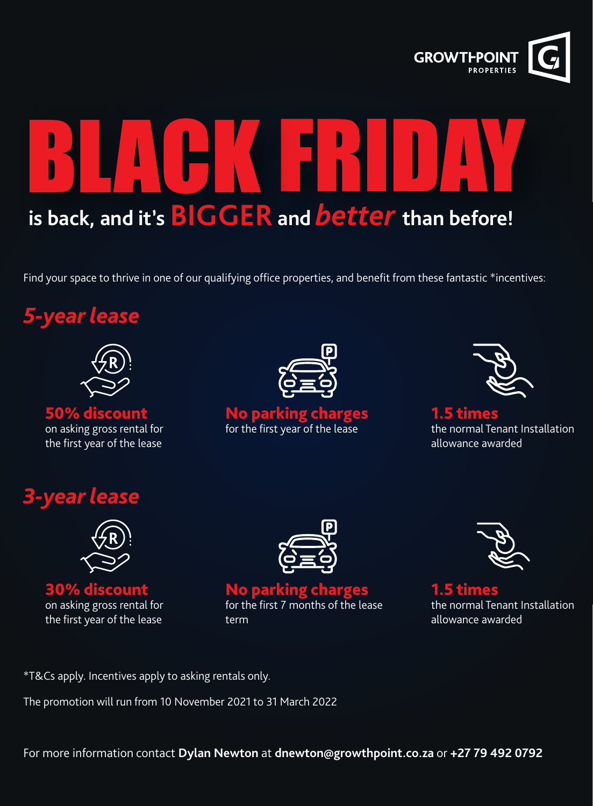

# **is back, and it's BIGGER and** *better* **than before!**

Find your space to thrive in one of our qualifying office properties, and benefit from these fantastic \*incentives:





50% discount on asking gross rental for the first year of the lease



No parking charges for the first year of the lease



1.5 times the normal Tenant Installation allowance awarded

### *3-year lease*



30% discount on asking gross rental for the first year of the lease



#### No parking charges for the first 7 months of the lease term



1.5 times the normal Tenant Installation allowance awarded

\*T&Cs apply. Incentives apply to asking rentals only.

The promotion will run from 10 November 2021 to 31 March 2022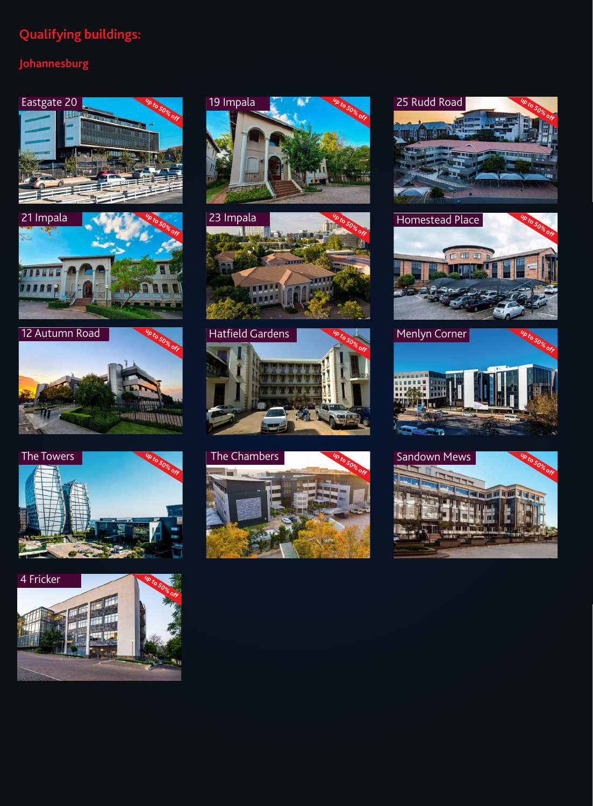#### **Qualifying buildings:**

#### **Johannesburg**